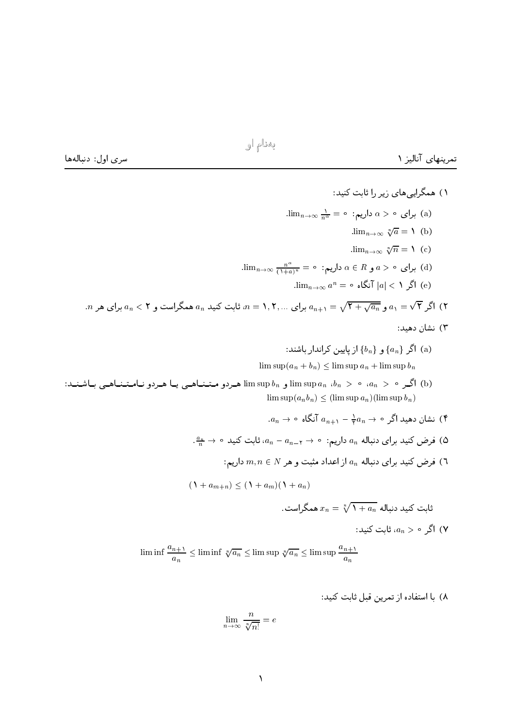بەنام او

سرى اول: دنبالهها

۱) همگرایی های زیر را ثابت کنید:  $\lim_{n\to\infty}\frac{1}{n^{\alpha}} = \circ \cdot \text{C}$ داریم:  $\alpha > \alpha$  داریم:  $\lim_{n\to\infty} \sqrt[n]{a} = \mathcal{N}(b)$  $\lim_{n\to\infty} \sqrt[n]{n} = \mathcal{N}$  (c)  $\lim_{n\to\infty} a^n = \circ$  اگر  $|a| < 1$ نگاه  $|e|$ . ۲) اگر  $\sqrt{\mathsf{F}}$  و  $a_n-\sqrt{\mathsf{F}}$  ب $a_{n+1}=\{a_{n+1}=\{1,1,2,...,n\}$  برای هر  $a_{n+1}=\sqrt{\mathsf{F}}$  برای هر  $a_n$  . ۳) نشان دهید: ار یایین کراندا, باشند: {b} ) اگر { $a_n$ } و { $a_n$ } از یایین کراندا, باشند:  $\limsup (a_n + b_n) < \limsup a_n + \limsup b_n$ imsup  $b_n$  ) ، «  $a_n > a_n$  ) ، « و limsup  $b_n$  ) ، « (b) ، « (d) ) ، (b) ، (a) ) ، (e) ) . (b)  $\limsup (a_n b_n) < (\limsup a_n)(\limsup b_n)$  $a_n \to \circ$  نشان دهید اگر  $a_{n+1} - a_n \to \frac{1}{2}$  آنگاه  $\circ \leftarrow$ .  $\frac{a_n}{n} \to \infty$  فرض کنید برای دنباله  $a_n$  داریم:  $\gamma \to a_{n-1}$ ، ثابت کنید ه $\pi$ ا) فرض کنید برای دنباله  $a_n$  از اعداد مثبت و هر  $m, n \in N$  داریم:  $\mathcal{A}$  $(\lambda + a_{m+n}) \leq (\lambda + a_m)(\lambda + a_n)$ ثابت کنید دنباله  $x_n = \sqrt[n]{1+a_n}$  همگراست.

اگر م $a_n > a$ ، ثابت کنید: (۷

$$
\liminf \frac{a_{n+1}}{a_n} \le \liminf \sqrt[n]{a_n} \le \limsup \sqrt[n]{a_n} \le \limsup \frac{a_{n+1}}{a_n}
$$

۸) با استفاده از تمرین قبل ثابت کنید:

$$
\lim_{n \to \infty} \frac{n}{\sqrt[n]{n!}} = e
$$